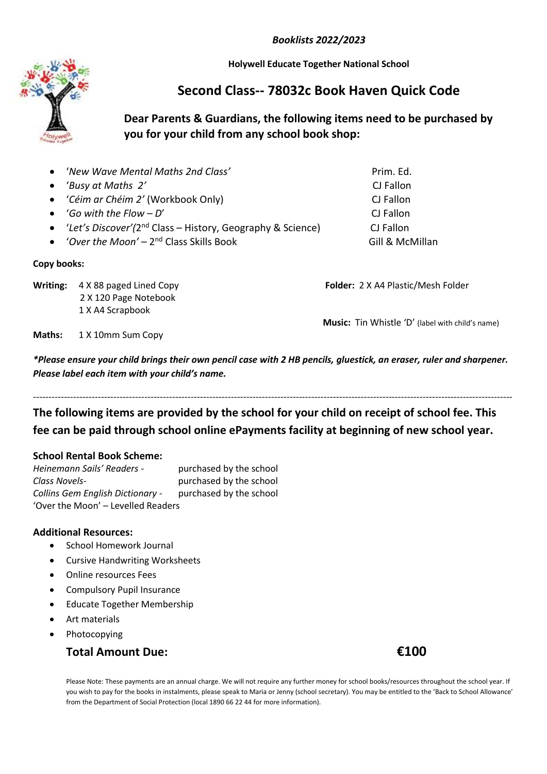*Booklists 2022/2023*

**Holywell Educate Together National School**

# **Second Class-- 78032c Book Haven Quick Code**

### **Dear Parents & Guardians, the following items need to be purchased by you for your child from any school book shop:**

| • 'New Wave Mental Maths 2nd Class'                                      | Prim. Ed.       |
|--------------------------------------------------------------------------|-----------------|
|                                                                          | CJ Fallon       |
| • 'Céim ar Chéim 2' (Workbook Only)                                      | CJ Fallon       |
| • <i>'Go with the Flow - D'</i>                                          | CJ Fallon       |
| • 'Let's Discover'(2 <sup>nd</sup> Class - History, Geography & Science) | CJ Fallon       |
| • 'Over the Moon' – $2^{nd}$ Class Skills Book                           | Gill & McMillan |
|                                                                          |                 |

**Copy books:**

**Writing:** 4 X 88 paged Lined Copy **Folder:** 2 X A4 Plastic/Mesh Folder 2 X 120 Page Notebook 1 X A4 Scrapbook

**Music:** Tin Whistle 'D' (label with child's name)

**Maths:** 1 X 10mm Sum Copy

*\*Please ensure your child brings their own pencil case with 2 HB pencils, gluestick, an eraser, ruler and sharpener. Please label each item with your child's name.*

*-----------------------------------------------------------------------------------------------------------------------------------------------------------* **The following items are provided by the school for your child on receipt of school fee. This** 

## **fee can be paid through school online ePayments facility at beginning of new school year.**

#### **School Rental Book Scheme:**

*Heinemann Sails' Readers -* purchased by the school *Class Novels-* purchased by the school *Collins Gem English Dictionary -* purchased by the school 'Over the Moon' – Levelled Readers

#### **Additional Resources:**

- School Homework Journal
- Cursive Handwriting Worksheets
- Online resources Fees
- Compulsory Pupil Insurance
- Educate Together Membership
- Art materials
- Photocopying

### **Total Amount Due: €100**

Please Note: These payments are an annual charge. We will not require any further money for school books/resources throughout the school year. If you wish to pay for the books in instalments, please speak to Maria or Jenny (school secretary). You may be entitled to the 'Back to School Allowance' from the Department of Social Protection (local 1890 66 22 44 for more information).